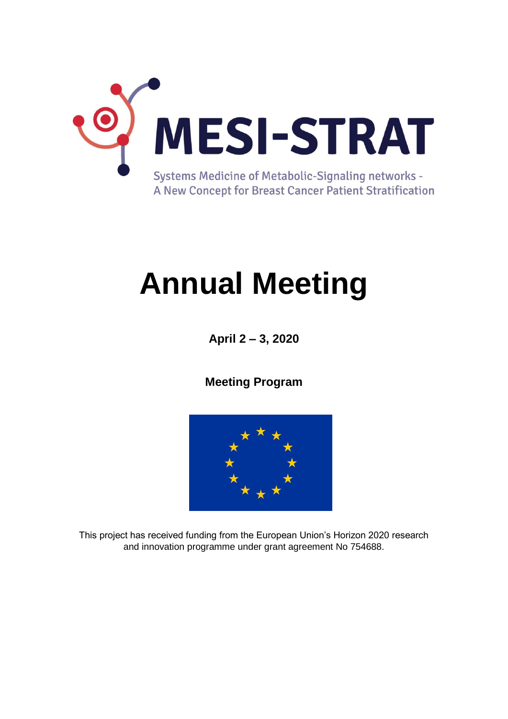

# **Annual Meeting**

**April 2 – 3, 2020**

**Meeting Program**



This project has received funding from the European Union's Horizon 2020 research and innovation programme under grant agreement No 754688.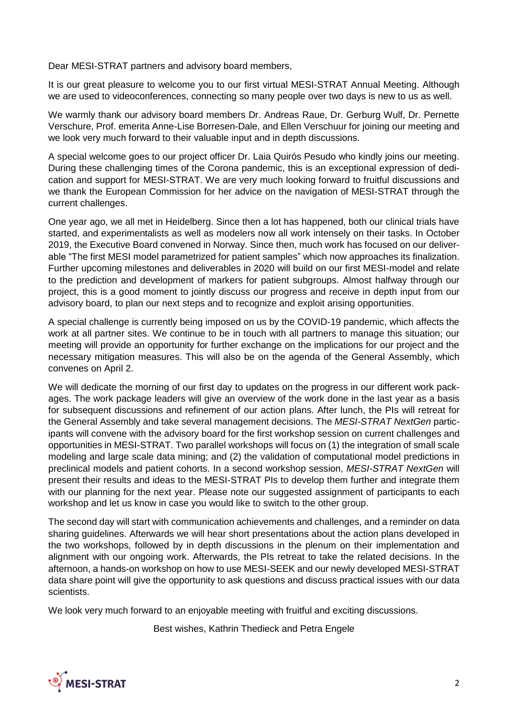Dear MESI-STRAT partners and advisory board members,

It is our great pleasure to welcome you to our first virtual MESI-STRAT Annual Meeting. Although we are used to videoconferences, connecting so many people over two days is new to us as well.

We warmly thank our advisory board members Dr. Andreas Raue, Dr. Gerburg Wulf, Dr. Pernette Verschure, Prof. emerita Anne-Lise Borresen-Dale, and Ellen Verschuur for joining our meeting and we look very much forward to their valuable input and in depth discussions.

A special welcome goes to our project officer Dr. Laia Quirós Pesudo who kindly joins our meeting. During these challenging times of the Corona pandemic, this is an exceptional expression of dedication and support for MESI-STRAT. We are very much looking forward to fruitful discussions and we thank the European Commission for her advice on the navigation of MESI-STRAT through the current challenges.

One year ago, we all met in Heidelberg. Since then a lot has happened, both our clinical trials have started, and experimentalists as well as modelers now all work intensely on their tasks. In October 2019, the Executive Board convened in Norway. Since then, much work has focused on our deliverable "The first MESI model parametrized for patient samples" which now approaches its finalization. Further upcoming milestones and deliverables in 2020 will build on our first MESI-model and relate to the prediction and development of markers for patient subgroups. Almost halfway through our project, this is a good moment to jointly discuss our progress and receive in depth input from our advisory board, to plan our next steps and to recognize and exploit arising opportunities.

A special challenge is currently being imposed on us by the COVID-19 pandemic, which affects the work at all partner sites. We continue to be in touch with all partners to manage this situation; our meeting will provide an opportunity for further exchange on the implications for our project and the necessary mitigation measures. This will also be on the agenda of the General Assembly, which convenes on April 2.

We will dedicate the morning of our first day to updates on the progress in our different work packages. The work package leaders will give an overview of the work done in the last year as a basis for subsequent discussions and refinement of our action plans. After lunch, the PIs will retreat for the General Assembly and take several management decisions. The *MESI-STRAT NextGen* participants will convene with the advisory board for the first workshop session on current challenges and opportunities in MESI-STRAT. Two parallel workshops will focus on (1) the integration of small scale modeling and large scale data mining; and (2) the validation of computational model predictions in preclinical models and patient cohorts. In a second workshop session, *MESI-STRAT NextGen* will present their results and ideas to the MESI-STRAT PIs to develop them further and integrate them with our planning for the next year. Please note our suggested assignment of participants to each workshop and let us know in case you would like to switch to the other group.

The second day will start with communication achievements and challenges, and a reminder on data sharing guidelines. Afterwards we will hear short presentations about the action plans developed in the two workshops, followed by in depth discussions in the plenum on their implementation and alignment with our ongoing work. Afterwards, the PIs retreat to take the related decisions. In the afternoon, a hands-on workshop on how to use MESI-SEEK and our newly developed MESI-STRAT data share point will give the opportunity to ask questions and discuss practical issues with our data scientists.

We look very much forward to an enjoyable meeting with fruitful and exciting discussions.

Best wishes, Kathrin Thedieck and Petra Engele

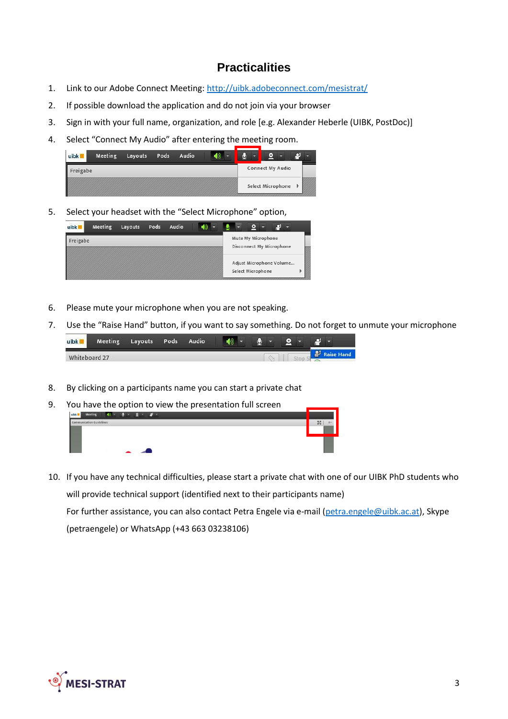## **Practicalities**

- 1. Link to our Adobe Connect Meeting:<http://uibk.adobeconnect.com/mesistrat/>
- 2. If possible download the application and do not join via your browser
- 3. Sign in with your full name, organization, and role [e.g. Alexander Heberle (UIBK, PostDoc)]
- 4. Select "Connect My Audio" after entering the meeting room.

| uibk     | Meeting | Layouts | Pods | Audio |  |  |                   |  |  |
|----------|---------|---------|------|-------|--|--|-------------------|--|--|
| Freigabe |         |         |      |       |  |  | Connect My Audio  |  |  |
|          |         |         |      |       |  |  | Select Microphone |  |  |

5. Select your headset with the "Select Microphone" option,

| uibk     | Meeting | Layouts | Pods | Audio |  |                                                |  |
|----------|---------|---------|------|-------|--|------------------------------------------------|--|
| Freigabe |         |         |      |       |  | Mute My Microphone<br>Disconnect My Microphone |  |
|          |         |         |      |       |  | Adjust Microphone Volume<br>Select Microphone  |  |

- 6. Please mute your microphone when you are not speaking.
- 7. Use the "Raise Hand" button, if you want to say something. Do not forget to unmute your microphone

| uibk <b>7</b> | <b>Meeting</b> | Layouts | <b>Pods</b> | Audio |  |  |  |      |
|---------------|----------------|---------|-------------|-------|--|--|--|------|
| Whiteboard 27 |                |         |             |       |  |  |  | and. |

- 8. By clicking on a participants name you can start a private chat
- 9. You have the option to view the presentation full screen Meeting  $\langle \rangle$   $\langle \rangle$
- 10. If you have any technical difficulties, please start a private chat with one of our UIBK PhD students who will provide technical support (identified next to their participants name) For further assistance, you can also contact Petra Engele via e-mail [\(petra.engele@uibk.ac.at\)](mailto:petra.engele@uibk.ac.at), Skype (petraengele) or WhatsApp (+43 663 03238106)

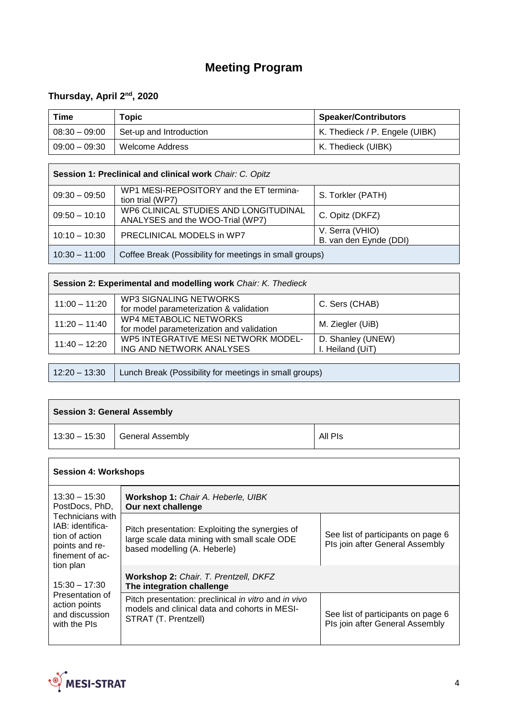# **Meeting Program**

#### **Thursday, April 2nd , 2020**

 $\mathsf{r}$ 

| Time            | Topic                   | <b>Speaker/Contributors</b>    |
|-----------------|-------------------------|--------------------------------|
| $08:30 - 09:00$ | Set-up and Introduction | K. Thedieck / P. Engele (UIBK) |
| $09:00 - 09:30$ | Welcome Address         | K. Thedieck (UIBK)             |

| Session 1: Preclinical and clinical work Chair: C. Opitz |                                                                           |                                           |  |  |  |
|----------------------------------------------------------|---------------------------------------------------------------------------|-------------------------------------------|--|--|--|
| $09:30 - 09:50$                                          | WP1 MESI-REPOSITORY and the ET termina-<br>tion trial (WP7)               | S. Torkler (PATH)                         |  |  |  |
| $09:50 - 10:10$                                          | WP6 CLINICAL STUDIES AND LONGITUDINAL<br>ANALYSES and the WOO-Trial (WP7) | C. Opitz (DKFZ)                           |  |  |  |
| $10:10 - 10:30$                                          | PRECLINICAL MODELS in WP7                                                 | V. Serra (VHIO)<br>B. van den Eynde (DDI) |  |  |  |
| $10:30 - 11:00$                                          | Coffee Break (Possibility for meetings in small groups)                   |                                           |  |  |  |

| Session 2: Experimental and modelling work Chair: K. Thedieck |                                                                            |                                       |  |  |
|---------------------------------------------------------------|----------------------------------------------------------------------------|---------------------------------------|--|--|
| $11:00 - 11:20$                                               | <b>WP3 SIGNALING NETWORKS</b><br>for model parameterization & validation   | C. Sers (CHAB)                        |  |  |
| $11:20 - 11:40$                                               | <b>WP4 METABOLIC NETWORKS</b><br>for model parameterization and validation | M. Ziegler (UiB)                      |  |  |
| $11:40 - 12:20$                                               | WP5 INTEGRATIVE MESI NETWORK MODEL-<br>ING AND NETWORK ANALYSES            | D. Shanley (UNEW)<br>I. Heiland (UiT) |  |  |
|                                                               |                                                                            |                                       |  |  |
| $12:20 - 13:30$                                               | Lunch Break (Possibility for meetings in small groups)                     |                                       |  |  |

| <b>Session 3: General Assembly</b> |                                  |         |  |  |  |
|------------------------------------|----------------------------------|---------|--|--|--|
|                                    | $13:30 - 15:30$ General Assembly | All Pis |  |  |  |

| <b>Session 4: Workshops</b>                                                                        |                                                                                                                                 |                                                                       |  |  |  |  |  |
|----------------------------------------------------------------------------------------------------|---------------------------------------------------------------------------------------------------------------------------------|-----------------------------------------------------------------------|--|--|--|--|--|
| $13:30 - 15:30$<br>PostDocs, PhD,                                                                  | Workshop 1: Chair A. Heberle, UIBK<br>Our next challenge                                                                        |                                                                       |  |  |  |  |  |
| Technicians with<br>IAB: identifica-<br>tion of action<br>points and re-<br>finement of ac-        | Pitch presentation: Exploiting the synergies of<br>large scale data mining with small scale ODE<br>based modelling (A. Heberle) | See list of participants on page 6<br>Pls join after General Assembly |  |  |  |  |  |
| tion plan<br>$15:30 - 17:30$<br>Presentation of<br>action points<br>and discussion<br>with the PIs | Workshop 2: Chair. T. Prentzell, DKFZ<br>The integration challenge                                                              |                                                                       |  |  |  |  |  |
|                                                                                                    | Pitch presentation: preclinical in vitro and in vivo<br>models and clinical data and cohorts in MESI-<br>STRAT (T. Prentzell)   | See list of participants on page 6<br>Pls join after General Assembly |  |  |  |  |  |